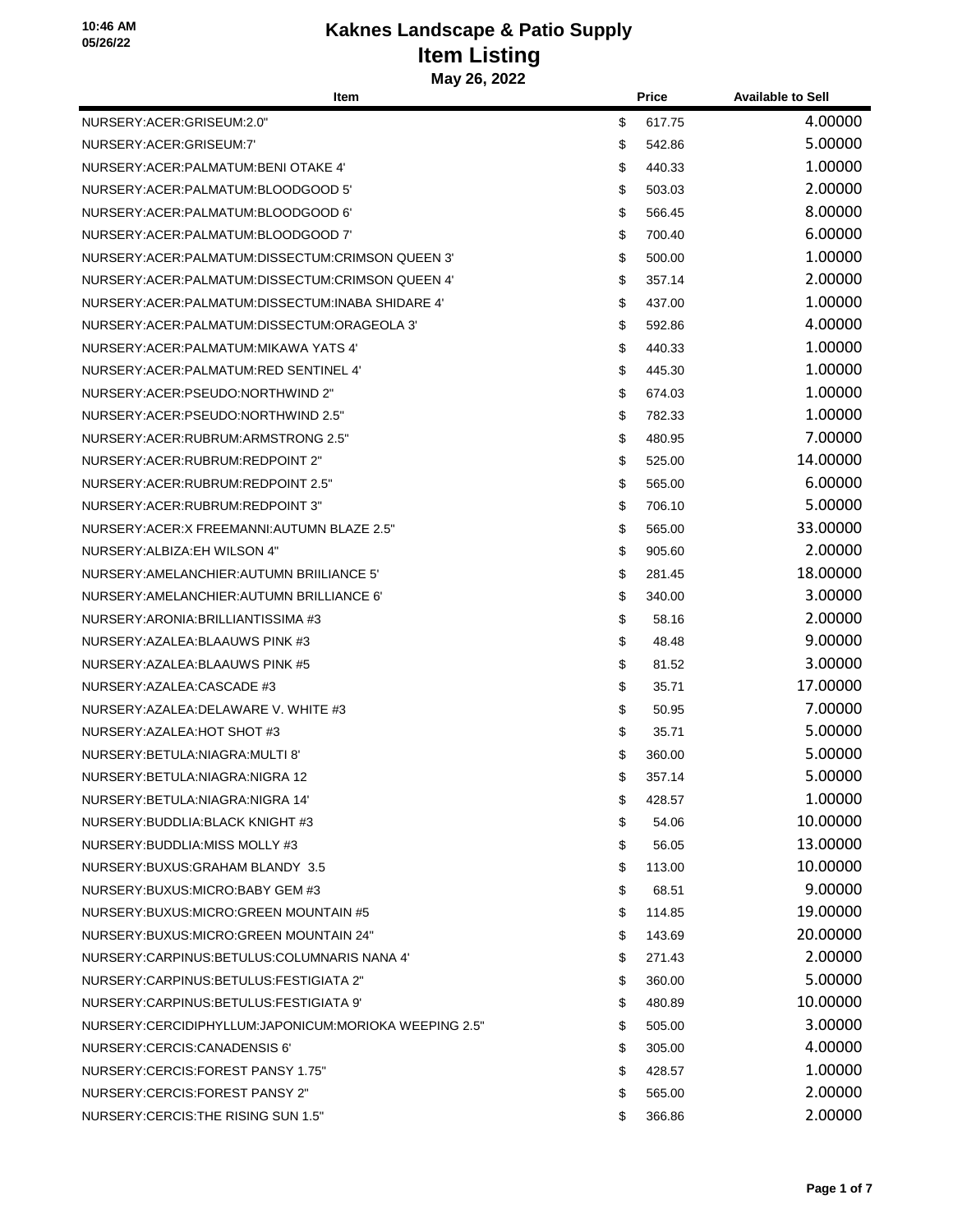| Item                                                  | <b>Price</b> | <b>Available to Sell</b> |
|-------------------------------------------------------|--------------|--------------------------|
| NURSERY: ACER: GRISEUM: 2.0"                          | \$<br>617.75 | 4.00000                  |
| NURSERY: ACER: GRISEUM: 7'                            | \$<br>542.86 | 5.00000                  |
| NURSERY: ACER: PALMATUM: BENI OTAKE 4'                | \$<br>440.33 | 1.00000                  |
| NURSERY: ACER: PALMATUM: BLOODGOOD 5'                 | \$<br>503.03 | 2.00000                  |
| NURSERY: ACER: PALMATUM: BLOODGOOD 6'                 | \$<br>566.45 | 8.00000                  |
| NURSERY: ACER: PALMATUM: BLOODGOOD 7'                 | \$<br>700.40 | 6.00000                  |
| NURSERY: ACER: PALMATUM: DISSECTUM: CRIMSON QUEEN 3'  | \$<br>500.00 | 1.00000                  |
| NURSERY: ACER: PALMATUM: DISSECTUM: CRIMSON QUEEN 4'  | \$<br>357.14 | 2.00000                  |
| NURSERY: ACER: PALMATUM: DISSECTUM: INABA SHIDARE 4'  | \$<br>437.00 | 1.00000                  |
| NURSERY:ACER:PALMATUM:DISSECTUM:ORAGEOLA 3'           | \$<br>592.86 | 4.00000                  |
| NURSERY: ACER: PALMATUM: MIKAWA YATS 4'               | \$<br>440.33 | 1.00000                  |
| NURSERY: ACER: PALMATUM: RED SENTINEL 4'              | \$<br>445.30 | 1.00000                  |
| NURSERY: ACER: PSEUDO: NORTHWIND 2"                   | \$<br>674.03 | 1.00000                  |
| NURSERY: ACER: PSEUDO: NORTHWIND 2.5"                 | \$<br>782.33 | 1.00000                  |
| NURSERY: ACER: RUBRUM: ARMSTRONG 2.5"                 | \$<br>480.95 | 7.00000                  |
| NURSERY: ACER: RUBRUM: REDPOINT 2"                    | \$<br>525.00 | 14.00000                 |
| NURSERY: ACER: RUBRUM: REDPOINT 2.5"                  | \$<br>565.00 | 6.00000                  |
| NURSERY: ACER: RUBRUM: REDPOINT 3"                    | \$<br>706.10 | 5.00000                  |
| NURSERY:ACER:X FREEMANNI:AUTUMN BLAZE 2.5"            | \$<br>565.00 | 33.00000                 |
| NURSERY: ALBIZA: EH WILSON 4"                         | \$<br>905.60 | 2.00000                  |
| NURSERY: AMELANCHIER: AUTUMN BRIILIANCE 5'            | \$<br>281.45 | 18.00000                 |
| NURSERY: AMELANCHIER: AUTUMN BRILLIANCE 6'            | \$<br>340.00 | 3.00000                  |
| NURSERY:ARONIA:BRILLIANTISSIMA #3                     | \$<br>58.16  | 2.00000                  |
| NURSERY: AZALEA: BLAAUWS PINK #3                      | \$<br>48.48  | 9.00000                  |
| NURSERY: AZALEA: BLAAUWS PINK #5                      | \$<br>81.52  | 3.00000                  |
| NURSERY: AZALEA: CASCADE #3                           | \$<br>35.71  | 17.00000                 |
| NURSERY: AZALEA: DELAWARE V. WHITE #3                 | \$<br>50.95  | 7.00000                  |
| NURSERY: AZALEA: HOT SHOT #3                          | \$<br>35.71  | 5.00000                  |
| NURSERY: BETULA: NIAGRA: MULTI 8'                     | \$<br>360.00 | 5.00000                  |
| NURSERY: BETULA: NIAGRA: NIGRA 12                     | \$<br>357.14 | 5.00000                  |
| NURSERY: BETULA: NIAGRA: NIGRA 14'                    | \$<br>428.57 | 1.00000                  |
| NURSERY: BUDDLIA: BLACK KNIGHT #3                     | \$<br>54.06  | 10.00000                 |
| NURSERY: BUDDLIA: MISS MOLLY #3                       | \$<br>56.05  | 13.00000                 |
| NURSERY: BUXUS: GRAHAM BLANDY 3.5                     | \$<br>113.00 | 10.00000                 |
| NURSERY: BUXUS: MICRO: BABY GEM #3                    | \$<br>68.51  | 9.00000                  |
| NURSERY: BUXUS: MICRO: GREEN MOUNTAIN #5              | \$<br>114.85 | 19.00000                 |
| NURSERY: BUXUS: MICRO: GREEN MOUNTAIN 24"             | \$<br>143.69 | 20.00000                 |
| NURSERY: CARPINUS: BETULUS: COLUMNARIS NANA 4'        | \$<br>271.43 | 2.00000                  |
| NURSERY: CARPINUS: BETULUS: FESTIGIATA 2"             | \$<br>360.00 | 5.00000                  |
| NURSERY:CARPINUS:BETULUS:FESTIGIATA 9'                | \$<br>480.89 | 10.00000                 |
| NURSERY:CERCIDIPHYLLUM:JAPONICUM:MORIOKA WEEPING 2.5" | \$<br>505.00 | 3.00000                  |
| NURSERY: CERCIS: CANADENSIS 6'                        | \$<br>305.00 | 4.00000                  |
| NURSERY: CERCIS: FOREST PANSY 1.75"                   | \$<br>428.57 | 1.00000                  |
| NURSERY: CERCIS: FOREST PANSY 2"                      | \$<br>565.00 | 2.00000                  |
| NURSERY: CERCIS: THE RISING SUN 1.5"                  | \$<br>366.86 | 2.00000                  |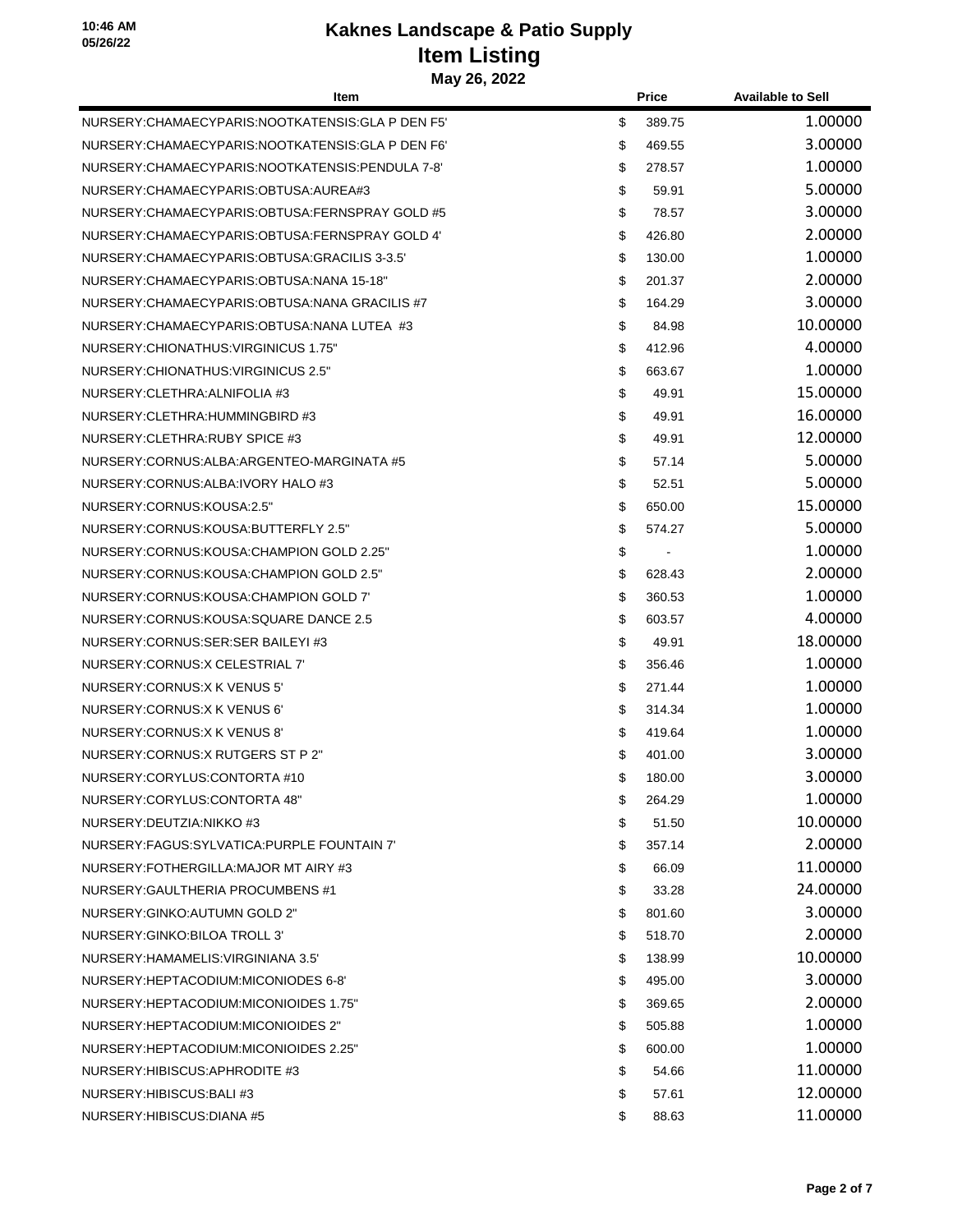| Item                                                | <b>Price</b>                   | <b>Available to Sell</b> |
|-----------------------------------------------------|--------------------------------|--------------------------|
| NURSERY: CHAMAECYPARIS: NOOTKATENSIS: GLA P DEN F5' | \$<br>389.75                   | 1.00000                  |
| NURSERY: CHAMAECYPARIS: NOOTKATENSIS: GLA P DEN F6' | \$<br>469.55                   | 3.00000                  |
| NURSERY:CHAMAECYPARIS:NOOTKATENSIS:PENDULA 7-8'     | \$<br>278.57                   | 1.00000                  |
| NURSERY: CHAMAECYPARIS: OBTUSA: AUREA#3             | \$<br>59.91                    | 5.00000                  |
| NURSERY: CHAMAECYPARIS: OBTUSA: FERNSPRAY GOLD #5   | \$<br>78.57                    | 3.00000                  |
| NURSERY:CHAMAECYPARIS:OBTUSA:FERNSPRAY GOLD 4'      | \$<br>426.80                   | 2.00000                  |
| NURSERY:CHAMAECYPARIS:OBTUSA:GRACILIS 3-3.5'        | \$<br>130.00                   | 1.00000                  |
| NURSERY: CHAMAECYPARIS: OBTUSA: NANA 15-18"         | \$<br>201.37                   | 2.00000                  |
| NURSERY: CHAMAECYPARIS: OBTUSA: NANA GRACILIS #7    | \$<br>164.29                   | 3.00000                  |
| NURSERY:CHAMAECYPARIS:OBTUSA:NANA LUTEA #3          | \$<br>84.98                    | 10.00000                 |
| NURSERY:CHIONATHUS:VIRGINICUS 1.75"                 | \$<br>412.96                   | 4.00000                  |
| NURSERY: CHIONATHUS: VIRGINICUS 2.5"                | \$<br>663.67                   | 1.00000                  |
| NURSERY: CLETHRA: ALNIFOLIA #3                      | \$<br>49.91                    | 15.00000                 |
| NURSERY: CLETHRA: HUMMINGBIRD #3                    | \$<br>49.91                    | 16.00000                 |
| NURSERY: CLETHRA: RUBY SPICE #3                     | \$<br>49.91                    | 12.00000                 |
| NURSERY:CORNUS:ALBA:ARGENTEO-MARGINATA #5           | \$<br>57.14                    | 5.00000                  |
| NURSERY:CORNUS:ALBA:IVORY HALO #3                   | \$<br>52.51                    | 5.00000                  |
| NURSERY:CORNUS:KOUSA:2.5"                           | \$<br>650.00                   | 15.00000                 |
| NURSERY:CORNUS:KOUSA:BUTTERFLY 2.5"                 | \$<br>574.27                   | 5.00000                  |
| NURSERY:CORNUS:KOUSA:CHAMPION GOLD 2.25"            | \$<br>$\overline{\phantom{a}}$ | 1.00000                  |
| NURSERY:CORNUS:KOUSA:CHAMPION GOLD 2.5"             | \$<br>628.43                   | 2.00000                  |
| NURSERY:CORNUS:KOUSA:CHAMPION GOLD 7'               | \$<br>360.53                   | 1.00000                  |
| NURSERY:CORNUS:KOUSA:SQUARE DANCE 2.5               | \$<br>603.57                   | 4.00000                  |
| NURSERY:CORNUS:SER:SER BAILEYI #3                   | \$<br>49.91                    | 18.00000                 |
| NURSERY: CORNUS: X CELESTRIAL 7'                    | \$<br>356.46                   | 1.00000                  |
| NURSERY: CORNUS: X K VENUS 5'                       | \$<br>271.44                   | 1.00000                  |
| NURSERY:CORNUS:X K VENUS 6'                         | \$<br>314.34                   | 1.00000                  |
| NURSERY:CORNUS:X K VENUS 8'                         | \$<br>419.64                   | 1.00000                  |
| NURSERY: CORNUS: X RUTGERS ST P 2"                  | \$<br>401.00                   | 3.00000                  |
| NURSERY:CORYLUS:CONTORTA #10                        | \$<br>180.00                   | 3.00000                  |
| NURSERY:CORYLUS:CONTORTA 48"                        | \$<br>264.29                   | 1.00000                  |
| NURSERY: DEUTZIA: NIKKO #3                          | \$<br>51.50                    | 10.00000                 |
| NURSERY: FAGUS: SYLVATICA: PURPLE FOUNTAIN 7'       | \$<br>357.14                   | 2.00000                  |
| NURSERY: FOTHERGILLA: MAJOR MT AIRY #3              | \$<br>66.09                    | 11.00000                 |
| NURSERY: GAULTHERIA PROCUMBENS #1                   | \$<br>33.28                    | 24.00000                 |
| NURSERY: GINKO: AUTUMN GOLD 2"                      | \$<br>801.60                   | 3.00000                  |
| NURSERY: GINKO: BILOA TROLL 3'                      | \$<br>518.70                   | 2.00000                  |
| NURSERY: HAMAMELIS: VIRGINIANA 3.5'                 | \$<br>138.99                   | 10.00000                 |
| NURSERY:HEPTACODIUM:MICONIODES 6-8'                 | \$<br>495.00                   | 3.00000                  |
| NURSERY: HEPTACODIUM: MICONIOIDES 1.75"             | \$<br>369.65                   | 2.00000                  |
| NURSERY: HEPTACODIUM: MICONIOIDES 2"                | \$<br>505.88                   | 1.00000                  |
| NURSERY:HEPTACODIUM:MICONIOIDES 2.25"               | \$<br>600.00                   | 1.00000                  |
| NURSERY: HIBISCUS: APHRODITE #3                     | \$<br>54.66                    | 11.00000                 |
| NURSERY: HIBISCUS: BALI #3                          | \$<br>57.61                    | 12.00000                 |
| NURSERY: HIBISCUS: DIANA #5                         | \$<br>88.63                    | 11.00000                 |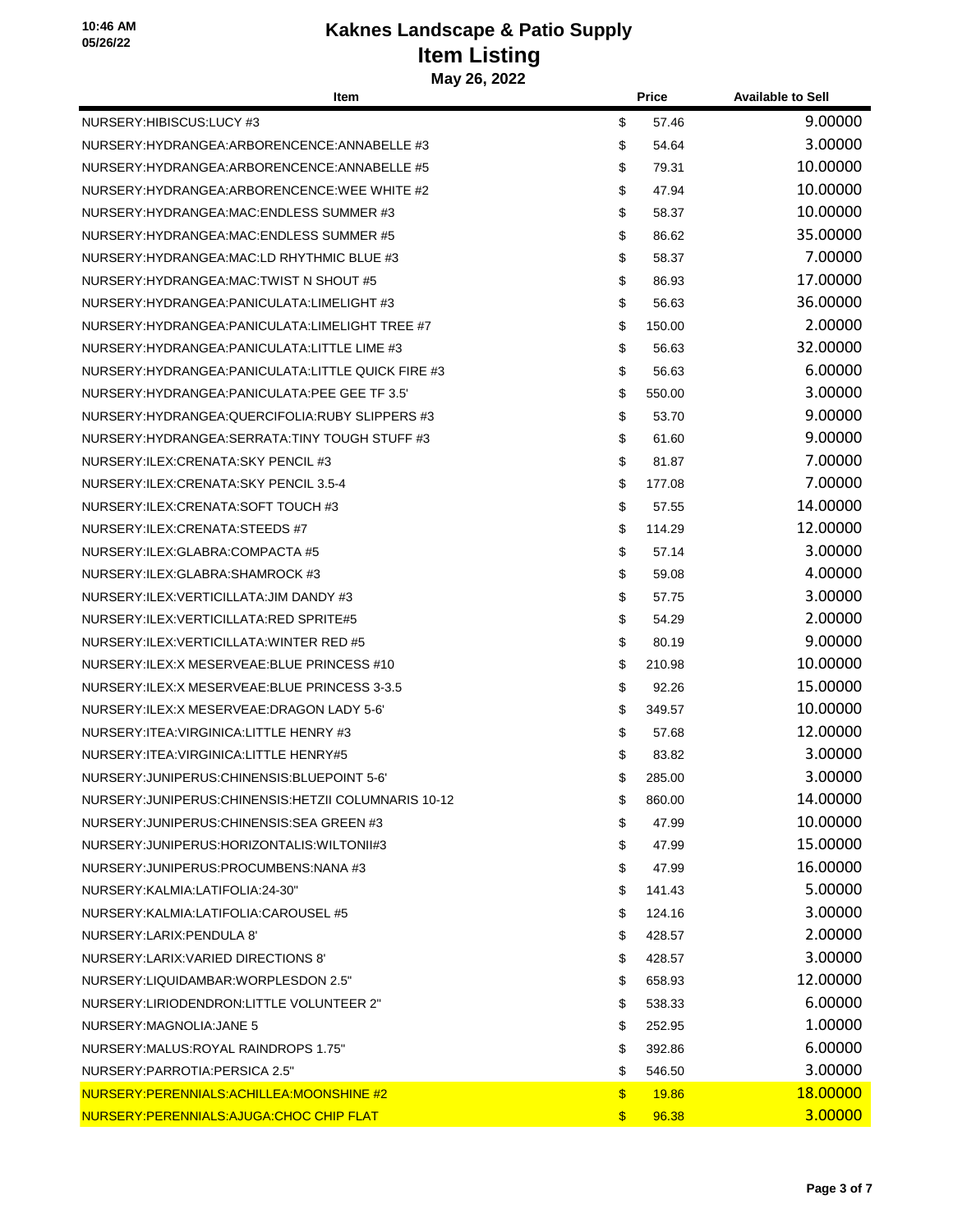**10:46 AM 05/26/22**

| Item                                                 |               | Price  | <b>Available to Sell</b> |
|------------------------------------------------------|---------------|--------|--------------------------|
| NURSERY: HIBISCUS: LUCY #3                           | \$            | 57.46  | 9.00000                  |
| NURSERY: HYDRANGEA: ARBORENCENCE: ANNABELLE #3       | \$            | 54.64  | 3.00000                  |
| NURSERY: HYDRANGEA: ARBORENCENCE: ANNABELLE #5       | \$            | 79.31  | 10.00000                 |
| NURSERY:HYDRANGEA:ARBORENCENCE:WEE WHITE #2          | \$            | 47.94  | 10.00000                 |
| NURSERY: HYDRANGEA: MAC: ENDLESS SUMMER #3           | \$            | 58.37  | 10.00000                 |
| NURSERY: HYDRANGEA: MAC: ENDLESS SUMMER #5           | \$            | 86.62  | 35.00000                 |
| NURSERY: HYDRANGEA: MAC: LD RHYTHMIC BLUE #3         | \$            | 58.37  | 7.00000                  |
| NURSERY: HYDRANGEA: MAC: TWIST N SHOUT #5            | \$            | 86.93  | 17.00000                 |
| NURSERY: HYDRANGEA: PANICULATA: LIMELIGHT #3         | \$            | 56.63  | 36.00000                 |
| NURSERY:HYDRANGEA:PANICULATA:LIMELIGHT TREE #7       | \$            | 150.00 | 2.00000                  |
| NURSERY: HYDRANGEA: PANICULATA: LITTLE LIME #3       | \$            | 56.63  | 32.00000                 |
| NURSERY: HYDRANGEA: PANICULATA: LITTLE QUICK FIRE #3 | \$            | 56.63  | 6.00000                  |
| NURSERY: HYDRANGEA: PANICULATA: PEE GEE TF 3.5'      | \$            | 550.00 | 3.00000                  |
| NURSERY:HYDRANGEA:QUERCIFOLIA:RUBY SLIPPERS #3       | \$            | 53.70  | 9.00000                  |
| NURSERY: HYDRANGEA: SERRATA: TINY TOUGH STUFF #3     | \$            | 61.60  | 9.00000                  |
| NURSERY: ILEX: CRENATA: SKY PENCIL #3                | \$            | 81.87  | 7.00000                  |
| NURSERY: ILEX: CRENATA: SKY PENCIL 3.5-4             | \$            | 177.08 | 7.00000                  |
| NURSERY: ILEX: CRENATA: SOFT TOUCH #3                | \$            | 57.55  | 14.00000                 |
| NURSERY: ILEX: CRENATA: STEEDS #7                    | \$            | 114.29 | 12.00000                 |
| NURSERY: ILEX: GLABRA: COMPACTA #5                   | \$            | 57.14  | 3.00000                  |
| NURSERY: ILEX: GLABRA: SHAMROCK #3                   | \$            | 59.08  | 4.00000                  |
| NURSERY: ILEX: VERTICILLATA: JIM DANDY #3            | \$            | 57.75  | 3.00000                  |
| NURSERY: ILEX: VERTICILLATA: RED SPRITE#5            | \$            | 54.29  | 2.00000                  |
| NURSERY: ILEX: VERTICILLATA: WINTER RED #5           | \$            | 80.19  | 9.00000                  |
| NURSERY: ILEX: X MESERVEAE: BLUE PRINCESS #10        | \$            | 210.98 | 10.00000                 |
| NURSERY: ILEX: X MESERVEAE: BLUE PRINCESS 3-3.5      | \$            | 92.26  | 15.00000                 |
| NURSERY: ILEX: X MESERVEAE: DRAGON LADY 5-6          | \$            | 349.57 | 10.00000                 |
| NURSERY: ITEA: VIRGINICA: LITTLE HENRY #3            | \$            | 57.68  | 12.00000                 |
| NURSERY: ITEA: VIRGINICA: LITTLE HENRY#5             | \$            | 83.82  | 3.00000                  |
| NURSERY: JUNIPERUS: CHINENSIS: BLUEPOINT 5-6'        | \$            | 285.00 | 3.00000                  |
| NURSERY:JUNIPERUS:CHINENSIS:HETZII COLUMNARIS 10-12  | \$            | 860.00 | 14.00000                 |
| NURSERY: JUNIPERUS: CHINENSIS: SEA GREEN #3          | \$            | 47.99  | 10.00000                 |
| NURSERY: JUNIPERUS: HORIZONTALIS: WILTONII#3         | \$            | 47.99  | 15.00000                 |
| NURSERY: JUNIPERUS: PROCUMBENS: NANA #3              | \$            | 47.99  | 16.00000                 |
| NURSERY: KALMIA: LATIFOLIA: 24-30"                   | \$            | 141.43 | 5.00000                  |
| NURSERY: KALMIA: LATIFOLIA: CAROUSEL #5              | \$            | 124.16 | 3.00000                  |
| NURSERY: LARIX: PENDULA 8'                           | \$            | 428.57 | 2.00000                  |
| NURSERY: LARIX: VARIED DIRECTIONS 8'                 | \$            | 428.57 | 3.00000                  |
| NURSERY:LIQUIDAMBAR:WORPLESDON 2.5"                  | \$            | 658.93 | 12.00000                 |
| NURSERY:LIRIODENDRON:LITTLE VOLUNTEER 2"             | \$            | 538.33 | 6.00000                  |
| NURSERY: MAGNOLIA: JANE 5                            | \$            | 252.95 | 1.00000                  |
| NURSERY: MALUS: ROYAL RAINDROPS 1.75"                | \$            | 392.86 | 6.00000                  |
| NURSERY: PARROTIA: PERSICA 2.5"                      | \$            | 546.50 | 3.00000                  |
| NURSERY: PERENNIALS: ACHILLEA: MOONSHINE #2          | $\frac{1}{2}$ | 19.86  | 18.00000                 |
| NURSERY: PERENNIALS: AJUGA: CHOC CHIP FLAT           | $\mathbf{\$}$ | 96.38  | 3.00000                  |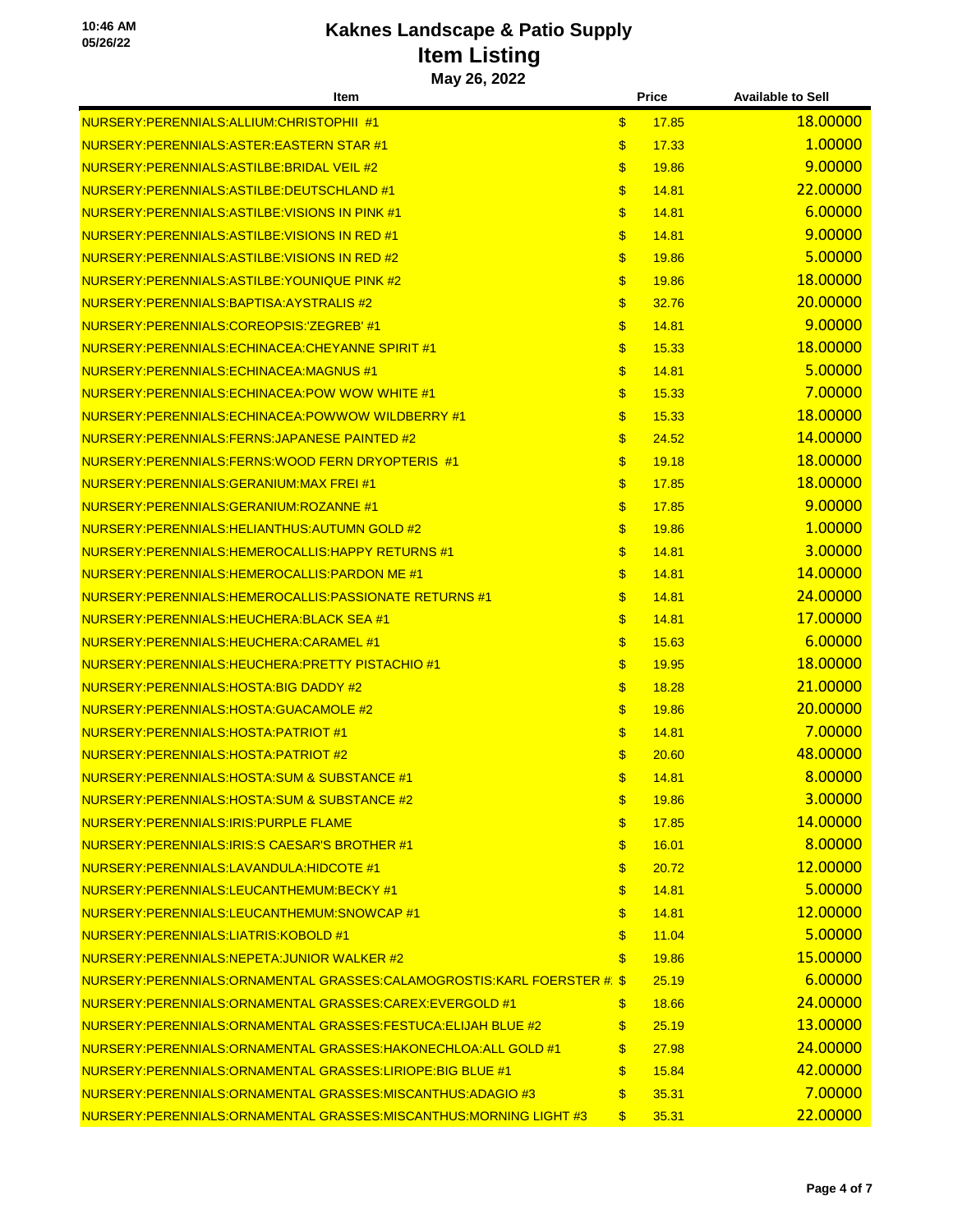| Item                                                                          |                           | Price        | <b>Available to Sell</b> |
|-------------------------------------------------------------------------------|---------------------------|--------------|--------------------------|
| NURSERY:PERENNIALS:ALLIUM:CHRISTOPHII #1                                      | $\boldsymbol{\mathsf{S}}$ | 17.85        | 18.00000                 |
| NURSERY: PERENNIALS: ASTER: EASTERN STAR #1                                   | $\mathbf{\$}$             | 17.33        | 1.00000                  |
| NURSERY: PERENNIALS: ASTILBE: BRIDAL VEIL #2                                  | $\boldsymbol{\mathsf{s}}$ | 19.86        | 9.00000                  |
| NURSERY: PERENNIALS: ASTILBE: DEUTSCHLAND #1                                  | \$                        | 14.81        | 22.00000                 |
| NURSERY: PERENNIALS: ASTILBE: VISIONS IN PINK #1                              | \$                        | 14.81        | 6.00000                  |
| NURSERY: PERENNIALS: ASTILBE: VISIONS IN RED #1                               | $\boldsymbol{\mathsf{s}}$ | 14.81        | 9.00000                  |
| NURSERY: PERENNIALS: ASTILBE: VISIONS IN RED #2                               | \$                        | 19.86        | 5.00000                  |
| NURSERY:PERENNIALS:ASTILBE:YOUNIQUE PINK #2                                   | \$                        | 19.86        | 18.00000                 |
| NURSERY: PERENNIALS: BAPTISA: AYSTRALIS #2                                    | $\boldsymbol{\mathsf{s}}$ | 32.76        | 20.00000                 |
| NURSERY: PERENNIALS: COREOPSIS: 'ZEGREB' #1                                   | $\boldsymbol{\mathsf{s}}$ | 14.81        | 9.00000                  |
| NURSERY: PERENNIALS: ECHINACEA: CHEYANNE SPIRIT #1                            | \$                        | 15.33        | 18.00000                 |
| NURSERY: PERENNIALS: ECHINACEA: MAGNUS #1                                     | $\boldsymbol{\mathsf{s}}$ | 14.81        | 5.00000                  |
| NURSERY: PERENNIALS: ECHINACEA: POW WOW WHITE #1                              | $\boldsymbol{\mathsf{s}}$ | 15.33        | 7.00000                  |
| NURSERY:PERENNIALS:ECHINACEA:POWWOW WILDBERRY #1                              | $\mathsf{\$}$             | 15.33        | 18.00000                 |
| NURSERY: PERENNIALS: FERNS: JAPANESE PAINTED #2                               | $\boldsymbol{\mathsf{s}}$ | 24.52        | 14.00000                 |
| NURSERY:PERENNIALS:FERNS:WOOD FERN DRYOPTERIS #1                              | $\boldsymbol{\mathsf{s}}$ | 19.18        | 18.00000                 |
| NURSERY: PERENNIALS: GERANIUM: MAX FREI #1                                    | \$                        | 17.85        | 18.00000                 |
| NURSERY: PERENNIALS: GERANIUM: ROZANNE #1                                     | \$                        | 17.85        | 9.00000                  |
| NURSERY: PERENNIALS: HELIANTHUS: AUTUMN GOLD #2                               | $\mathbf{\$}$             | 19.86        | 1.00000                  |
| NURSERY:PERENNIALS:HEMEROCALLIS:HAPPY RETURNS #1                              | $\mathbf{\$}$             | 14.81        | 3.00000                  |
| NURSERY: PERENNIALS: HEMEROCALLIS: PARDON ME #1                               | \$                        | 14.81        | 14.00000                 |
| NURSERY:PERENNIALS:HEMEROCALLIS:PASSIONATE RETURNS #1                         | $\boldsymbol{\mathsf{s}}$ | 14.81        | 24.00000                 |
| NURSERY: PERENNIALS: HEUCHERA: BLACK SEA #1                                   | \$                        | 14.81        | 17.00000                 |
| NURSERY: PERENNIALS: HEUCHERA: CARAMEL #1                                     | \$                        | 15.63        | 6.00000                  |
| NURSERY:PERENNIALS:HEUCHERA:PRETTY PISTACHIO #1                               | $\boldsymbol{\mathsf{s}}$ | 19.95        | 18.00000                 |
| NURSERY: PERENNIALS: HOSTA: BIG DADDY #2                                      | \$                        | 18.28        | 21.00000                 |
| NURSERY: PERENNIALS: HOSTA: GUACAMOLE #2                                      | \$                        | 19.86        | 20.00000                 |
| NURSERY: PERENNIALS: HOSTA: PATRIOT #1                                        | \$                        | 14.81        | 7.00000                  |
| NURSERY: PERENNIALS: HOSTA: PATRIOT #2                                        | $\boldsymbol{\mathsf{s}}$ | 20.60        | 48.00000                 |
| NURSERY: PERENNIALS: HOSTA: SUM & SUBSTANCE #1                                | \$                        | <b>14.81</b> | 8.00000                  |
| NURSERY: PERENNIALS: HOSTA: SUM & SUBSTANCE #2                                | \$                        | 19.86        | 3.00000                  |
| NURSERY: PERENNIALS: IRIS: PURPLE FLAME                                       | \$                        | 17.85        | 14.00000                 |
| NURSERY: PERENNIALS: IRIS: S CAESAR'S BROTHER #1                              | \$                        | 16.01        | 8.00000                  |
| NURSERY: PERENNIALS: LAVANDULA: HIDCOTE #1                                    | \$                        | 20.72        | 12.00000                 |
| NURSERY: PERENNIALS: LEUCANTHEMUM: BECKY #1                                   | \$                        | 14.81        | 5.00000                  |
| NURSERY: PERENNIALS: LEUCANTHEMUM: SNOWCAP #1                                 | \$                        | 14.81        | 12.00000                 |
| NURSERY: PERENNIALS: LIATRIS: KOBOLD #1                                       | \$                        | 11.04        | 5.00000                  |
| NURSERY: PERENNIALS: NEPETA: JUNIOR WALKER #2                                 | $\boldsymbol{\mathsf{s}}$ | 19.86        | 15.00000                 |
| <u>NURSERY:PERENNIALS:ORNAMENTAL GRASSES:CALAMOGROSTIS:KARL FOERSTER #_\$</u> |                           | 25.19        | 6.00000                  |
| NURSERY:PERENNIALS:ORNAMENTAL GRASSES:CAREX:EVERGOLD #1                       | \$                        | 18.66        | 24.00000                 |
| NURSERY:PERENNIALS:ORNAMENTAL GRASSES:FESTUCA:ELIJAH BLUE #2                  | \$                        | 25.19        | 13.00000                 |
| <u>NURSERY:PERENNIALS:ORNAMENTAL GRASSES:HAKONECHLOA:ALL GOLD #1</u>          | \$                        | 27.98        | 24.00000                 |
| NURSERY:PERENNIALS:ORNAMENTAL GRASSES:LIRIOPE:BIG BLUE #1                     | \$                        | 15.84        | 42.00000                 |
| NURSERY:PERENNIALS:ORNAMENTAL GRASSES:MISCANTHUS:ADAGIO #3                    | \$                        | 35.31        | 7.00000                  |
| NURSERY:PERENNIALS:ORNAMENTAL GRASSES:MISCANTHUS:MORNING LIGHT #3             | \$                        | 35.31        | 22.00000                 |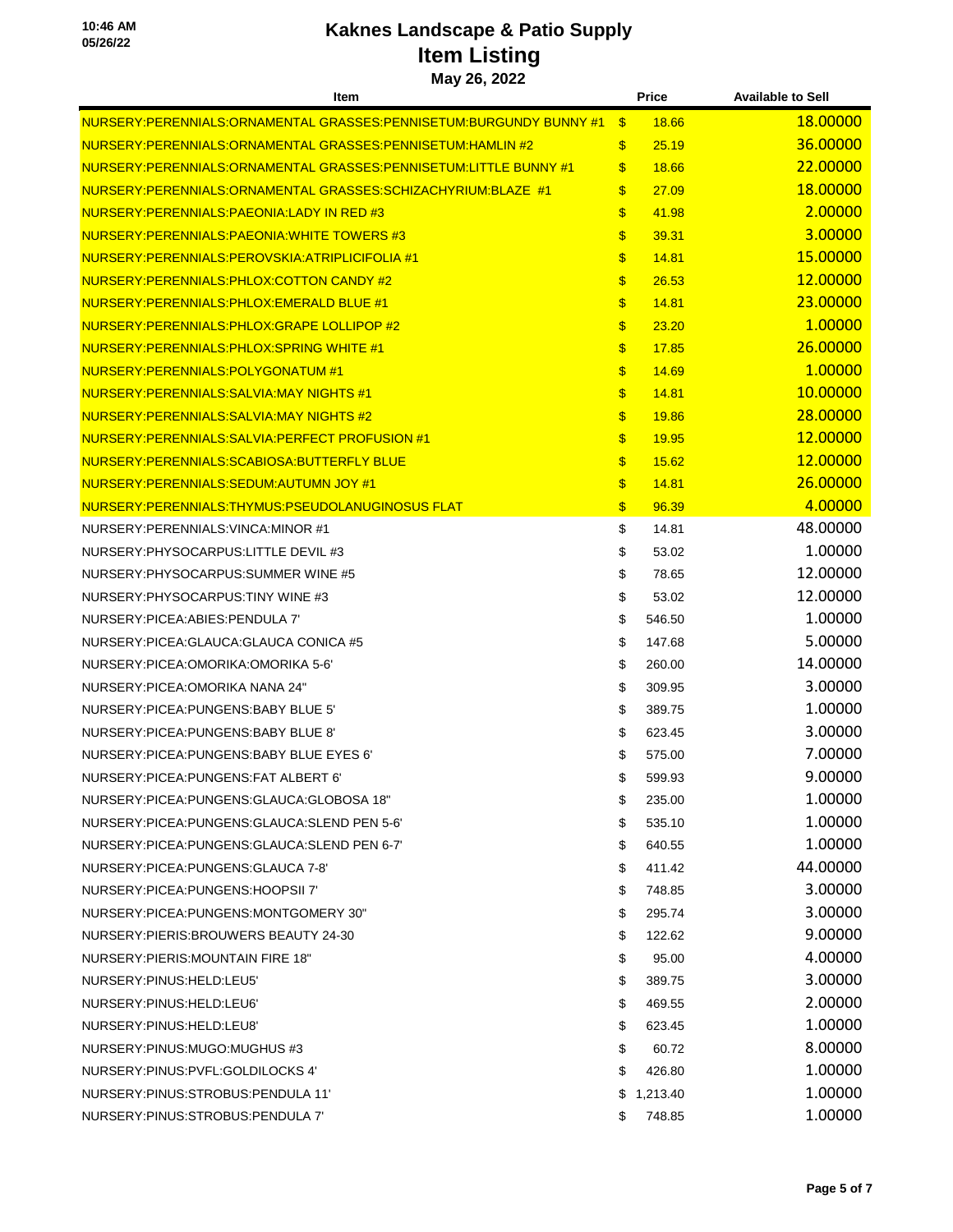| Item                                                               |                           | Price    | <b>Available to Sell</b> |
|--------------------------------------------------------------------|---------------------------|----------|--------------------------|
| NURSERY:PERENNIALS:ORNAMENTAL GRASSES:PENNISETUM:BURGUNDY BUNNY #1 | $\mathbf{\$}$             | 18.66    | 18.00000                 |
| <u>NURSERY:PERENNIALS:ORNAMENTAL GRASSES:PENNISETUM:HAMLIN #2</u>  | \$                        | 25.19    | 36.00000                 |
| NURSERY:PERENNIALS:ORNAMENTAL GRASSES:PENNISETUM:LITTLE BUNNY #1   | $\mathbf{\$}$             | 18.66    | 22.00000                 |
| NURSERY:PERENNIALS:ORNAMENTAL GRASSES:SCHIZACHYRIUM:BLAZE #1       | \$                        | 27.09    | 18.00000                 |
| NURSERY: PERENNIALS: PAEONIA: LADY IN RED #3                       | \$                        | 41.98    | 2.00000                  |
| NURSERY: PERENNIALS: PAEONIA: WHITE TOWERS #3                      | $\boldsymbol{\mathsf{s}}$ | 39.31    | 3.00000                  |
| NURSERY:PERENNIALS:PEROVSKIA:ATRIPLICIFOLIA #1                     | \$                        | 14.81    | 15.00000                 |
| NURSERY: PERENNIALS: PHLOX: COTTON CANDY #2                        | \$                        | 26.53    | 12.00000                 |
| NURSERY: PERENNIALS: PHLOX: EMERALD BLUE #1                        | $\mathbf{\$}$             | 14.81    | 23.00000                 |
| NURSERY: PERENNIALS: PHLOX: GRAPE LOLLIPOP #2                      | $\boldsymbol{\mathsf{s}}$ | 23.20    | 1.00000                  |
| NURSERY: PERENNIALS: PHLOX: SPRING WHITE #1                        | $\mathbf{\$}$             | 17.85    | 26.00000                 |
| NURSERY: PERENNIALS: POLYGONATUM #1                                | \$                        | 14.69    | 1.00000                  |
| NURSERY: PERENNIALS: SALVIA: MAY NIGHTS #1                         | \$                        | 14.81    | 10.00000                 |
| NURSERY: PERENNIALS: SALVIA: MAY NIGHTS #2                         | \$                        | 19.86    | 28.00000                 |
| NURSERY:PERENNIALS:SALVIA:PERFECT PROFUSION #1                     | $\boldsymbol{\$}$         | 19.95    | 12.00000                 |
| NURSERY: PERENNIALS: SCABIOSA: BUTTERFLY BLUE                      | $\boldsymbol{\mathsf{s}}$ | 15.62    | 12.00000                 |
| NURSERY: PERENNIALS: SEDUM: AUTUMN JOY #1                          | \$                        | 14.81    | 26.00000                 |
| NURSERY:PERENNIALS:THYMUS:PSEUDOLANUGINOSUS FLAT                   | \$                        | 96.39    | 4.00000                  |
| NURSERY: PERENNIALS: VINCA: MINOR #1                               | \$                        | 14.81    | 48.00000                 |
| NURSERY: PHYSOCARPUS: LITTLE DEVIL #3                              | \$                        | 53.02    | 1.00000                  |
| NURSERY: PHYSOCARPUS: SUMMER WINE #5                               | \$                        | 78.65    | 12.00000                 |
| NURSERY: PHYSOCARPUS: TINY WINE #3                                 | \$                        | 53.02    | 12.00000                 |
| NURSERY: PICEA: ABIES: PENDULA 7'                                  | \$                        | 546.50   | 1.00000                  |
| NURSERY: PICEA: GLAUCA: GLAUCA CONICA #5                           | \$                        | 147.68   | 5.00000                  |
| NURSERY:PICEA:OMORIKA:OMORIKA 5-6'                                 | \$                        | 260.00   | 14.00000                 |
| NURSERY: PICEA: OMORIKA NANA 24"                                   | \$                        | 309.95   | 3.00000                  |
| NURSERY: PICEA: PUNGENS: BABY BLUE 5'                              | \$                        | 389.75   | 1.00000                  |
| NURSERY: PICEA: PUNGENS: BABY BLUE 8'                              | \$                        | 623.45   | 3.00000                  |
| NURSERY: PICEA: PUNGENS: BABY BLUE EYES 6'                         | \$                        | 575.00   | 7.00000                  |
| NURSERY: PICEA: PUNGENS: FAT ALBERT 6'                             | \$                        | 599.93   | 9.00000                  |
| NURSERY: PICEA: PUNGENS: GLAUCA: GLOBOSA 18"                       | \$                        | 235.00   | 1.00000                  |
| NURSERY:PICEA:PUNGENS:GLAUCA:SLEND PEN 5-6'                        | \$                        | 535.10   | 1.00000                  |
| NURSERY: PICEA: PUNGENS: GLAUCA: SLEND PEN 6-7'                    | \$                        | 640.55   | 1.00000                  |
| NURSERY: PICEA: PUNGENS: GLAUCA 7-8'                               | \$                        | 411.42   | 44.00000                 |
| NURSERY: PICEA: PUNGENS: HOOPSII 7'                                | \$                        | 748.85   | 3.00000                  |
| NURSERY: PICEA: PUNGENS: MONTGOMERY 30"                            | \$                        | 295.74   | 3.00000                  |
| NURSERY: PIERIS: BROUWERS BEAUTY 24-30                             | \$                        | 122.62   | 9.00000                  |
| NURSERY: PIERIS: MOUNTAIN FIRE 18"                                 | \$                        | 95.00    | 4.00000                  |
| NURSERY: PINUS: HELD: LEU5'                                        | \$                        | 389.75   | 3.00000                  |
| NURSERY: PINUS: HELD: LEU6'                                        | \$                        | 469.55   | 2.00000                  |
| NURSERY: PINUS: HELD: LEU8'                                        | \$                        | 623.45   | 1.00000                  |
| NURSERY: PINUS: MUGO: MUGHUS #3                                    | \$                        | 60.72    | 8.00000                  |
| NURSERY: PINUS: PVFL: GOLDILOCKS 4'                                | \$                        | 426.80   | 1.00000                  |
| NURSERY: PINUS: STROBUS: PENDULA 11'                               | \$                        | 1,213.40 | 1.00000                  |
| NURSERY: PINUS: STROBUS: PENDULA 7'                                | \$                        | 748.85   | 1.00000                  |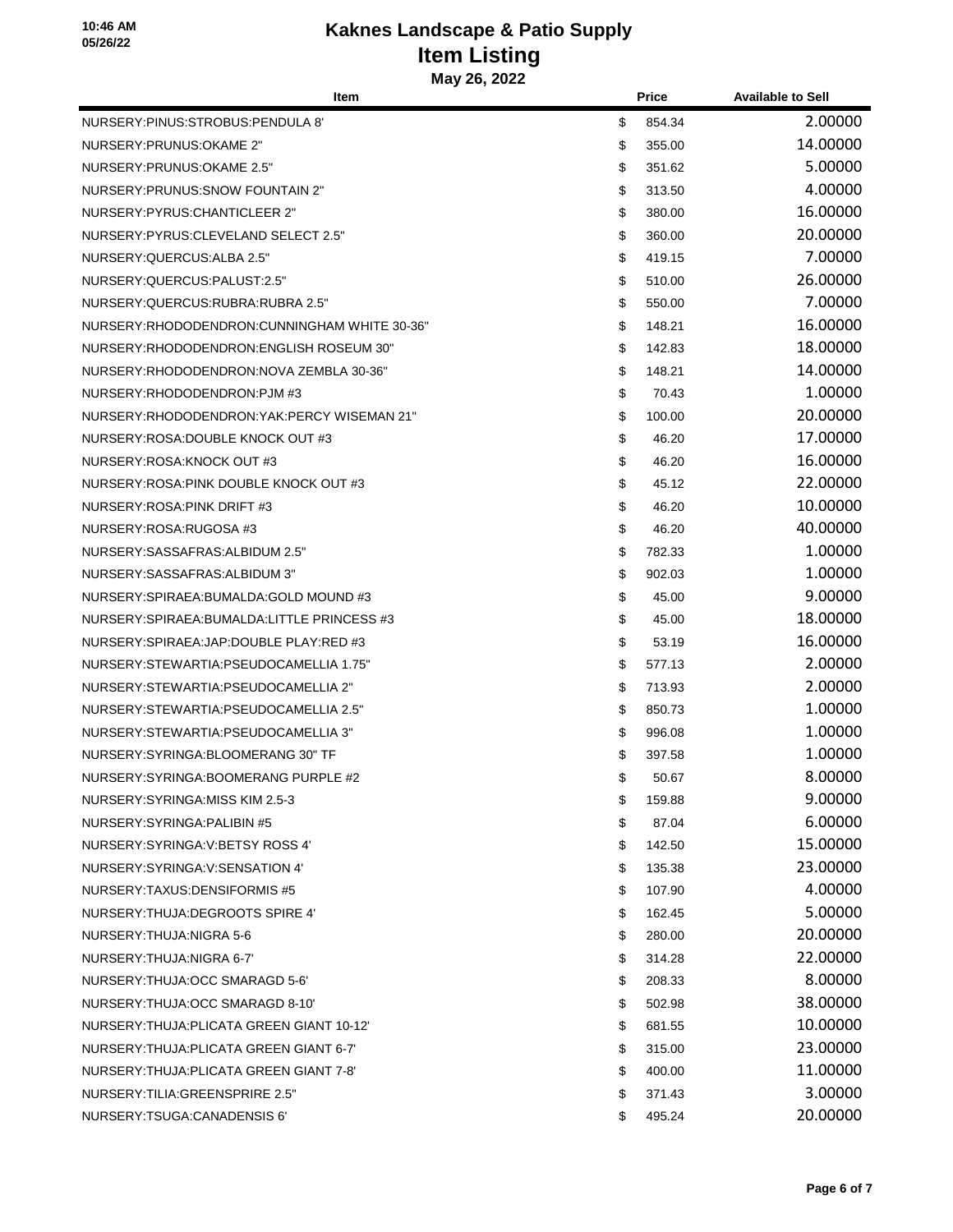| Item                                         | Price        | <b>Available to Sell</b> |
|----------------------------------------------|--------------|--------------------------|
| NURSERY: PINUS: STROBUS: PENDULA 8'          | \$<br>854.34 | 2.00000                  |
| NURSERY: PRUNUS: OKAME 2"                    | \$<br>355.00 | 14.00000                 |
| NURSERY: PRUNUS: OKAME 2.5"                  | \$<br>351.62 | 5.00000                  |
| NURSERY: PRUNUS: SNOW FOUNTAIN 2"            | \$<br>313.50 | 4.00000                  |
| NURSERY: PYRUS: CHANTICLEER 2"               | \$<br>380.00 | 16.00000                 |
| NURSERY: PYRUS: CLEVELAND SELECT 2.5"        | \$<br>360.00 | 20.00000                 |
| NURSERY: QUERCUS: ALBA 2.5"                  | \$<br>419.15 | 7.00000                  |
| NURSERY:QUERCUS:PALUST:2.5"                  | \$<br>510.00 | 26.00000                 |
| NURSERY: QUERCUS: RUBRA: RUBRA 2.5"          | \$<br>550.00 | 7.00000                  |
| NURSERY:RHODODENDRON:CUNNINGHAM WHITE 30-36" | \$<br>148.21 | 16.00000                 |
| NURSERY: RHODODENDRON: ENGLISH ROSEUM 30"    | \$<br>142.83 | 18.00000                 |
| NURSERY:RHODODENDRON:NOVA ZEMBLA 30-36"      | \$<br>148.21 | 14.00000                 |
| NURSERY:RHODODENDRON:PJM #3                  | \$<br>70.43  | 1.00000                  |
| NURSERY:RHODODENDRON:YAK:PERCY WISEMAN 21"   | \$<br>100.00 | 20.00000                 |
| NURSERY: ROSA: DOUBLE KNOCK OUT #3           | \$<br>46.20  | 17.00000                 |
| NURSERY: ROSA: KNOCK OUT #3                  | \$<br>46.20  | 16.00000                 |
| NURSERY: ROSA: PINK DOUBLE KNOCK OUT #3      | \$<br>45.12  | 22.00000                 |
| NURSERY: ROSA: PINK DRIFT #3                 | \$<br>46.20  | 10.00000                 |
| NURSERY: ROSA: RUGOSA #3                     | \$<br>46.20  | 40.00000                 |
| NURSERY: SASSAFRAS: ALBIDUM 2.5"             | \$<br>782.33 | 1.00000                  |
| NURSERY: SASSAFRAS: ALBIDUM 3"               | \$<br>902.03 | 1.00000                  |
| NURSERY: SPIRAEA: BUMALDA: GOLD MOUND #3     | \$<br>45.00  | 9.00000                  |
| NURSERY:SPIRAEA:BUMALDA:LITTLE PRINCESS #3   | \$<br>45.00  | 18.00000                 |
| NURSERY: SPIRAEA: JAP: DOUBLE PLAY: RED #3   | \$<br>53.19  | 16.00000                 |
| NURSERY: STEWARTIA: PSEUDOCAMELLIA 1.75"     | \$<br>577.13 | 2.00000                  |
| NURSERY: STEWARTIA: PSEUDOCAMELLIA 2"        | \$<br>713.93 | 2.00000                  |
| NURSERY: STEWARTIA: PSEUDOCAMELLIA 2.5"      | \$<br>850.73 | 1.00000                  |
| NURSERY:STEWARTIA:PSEUDOCAMELLIA 3"          | \$<br>996.08 | 1.00000                  |
| NURSERY: SYRINGA: BLOOMERANG 30" TF          | \$<br>397.58 | 1.00000                  |
| NURSERY: SYRINGA: BOOMERANG PURPLE #2        | \$<br>50.67  | 8.00000                  |
| NURSERY: SYRINGA: MISS KIM 2.5-3             | \$<br>159.88 | 9.00000                  |
| NURSERY:SYRINGA:PALIBIN #5                   | \$<br>87.04  | 6.00000                  |
| NURSERY: SYRINGA: V: BETSY ROSS 4'           | \$<br>142.50 | 15.00000                 |
| NURSERY: SYRINGA: V: SENSATION 4'            | \$<br>135.38 | 23.00000                 |
| NURSERY: TAXUS: DENSIFORMIS #5               | \$<br>107.90 | 4.00000                  |
| NURSERY: THUJA: DEGROOTS SPIRE 4'            | \$<br>162.45 | 5.00000                  |
| NURSERY: THUJA: NIGRA 5-6                    | \$<br>280.00 | 20.00000                 |
| NURSERY: THUJA: NIGRA 6-7'                   | \$<br>314.28 | 22.00000                 |
| NURSERY: THUJA: OCC SMARAGD 5-6'             | \$<br>208.33 | 8.00000                  |
| NURSERY: THUJA: OCC SMARAGD 8-10'            | \$<br>502.98 | 38.00000                 |
| NURSERY: THUJA: PLICATA GREEN GIANT 10-12'   | \$<br>681.55 | 10.00000                 |
| NURSERY: THUJA: PLICATA GREEN GIANT 6-7'     | \$<br>315.00 | 23.00000                 |
| NURSERY: THUJA: PLICATA GREEN GIANT 7-8'     | \$<br>400.00 | 11.00000                 |
| NURSERY: TILIA: GREENSPRIRE 2.5"             | \$<br>371.43 | 3.00000                  |
| NURSERY: TSUGA: CANADENSIS 6'                | \$<br>495.24 | 20.00000                 |